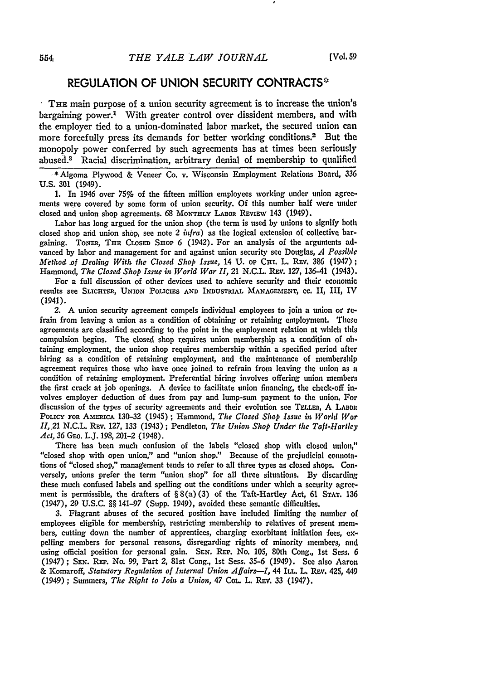## **REGULATION** OF **UNION** SECURITY **CONTRACTS"**

**THE** main purpose of a union security agreement is to increase the union's bargaining power.' With greater control over dissident members, and with the employer tied to a union-dominated labor market, the secured union can more forcefully press its demands for better working conditions.<sup>2</sup> But the monopoly power conferred by such agreements has at times been seriously abused.3 Racial discrimination, arbitrary denial of membership to qualified

\*Algoma Plywood & Veneer Co. v. Wisconsin Employment Relations Board, **336** U.S. 301 (1949).

1. In 1946 over *75%* of the fifteen million employees working under union agreements were covered by some form of union security. Of this number half were under closed and union shop agreements. 68 MONTHLY LABOR REVIEW 143 (1949).

Labor has long argued for the union shop (the term is used by unions to signify both closed shop aid union shop, see note 2 *infra)* as the logical extension of collective bargaining. **TONER, THE** CLOSED SaoP 6 (1942). For an analysis of the arguments **ad**vanced by labor and management for and against union security see Douglas, *A Possible Method .of Dealing With the Closed Shop Issue,* 14 U. or CHI. L. REv. 386 (1947); Hammond, *The Closed Shop Issue in World War II,* 21 N.C.L. REV. 127, 136-41 (1943).

For a full discussion of other devices used to achieve security and their economic results see **SLICHTEI,** UNION **POLICIES AND INDUSTRIAL MANAGEMENT, CC.** II, III, IV (1941).

2. A union security agreement compels individual employees to join a union or refrain from leaving a union as a condition of obtaining or retaining employment. These agreements are classified according to the point in the employment relation at which this compulsion begins. The dosed shop requires union membership as a condition of obtaining employment, the union shop requires membership within a specified period after hiring as a condition of retaining employment, and the maintenance of membership agreement requires those who have once joined to refrain from leaving the union as a condition of retaining employment. Preferential hiring involves offering union members the first crack at **job** openings. **A** device to facilitate union financing, the check-off involves employer deduction of dues from pay and lump-sum payment to the union. For discussion of the types of security agreements and their evolution see **TELLER,** A LABoR PoLIcY **FOR AMERICA 130-32** (1945) **;** Hammond, *The Closed Shop Issue in World War II,* 21 N.C.L. Rev. 127, 133 (1943); Pendleton, *The Union Shop Under the Taft-Hartley Act,* **36** GEo. LJ. 198,201-2 (1948).

There has been much confusion of the labels "closed shop with closed union," "closed shop with open union," and "union shop." Because of the prejudicial connotations of "closed shop," management tends to refer to all three types as closed shops. Conversely, unions prefer the term "union shop" for all three situations. By discarding these much confused labels and spelling out the conditions under which a security agreement is permissible, the drafters of  $\S 8(a)(3)$  of the Taft-Hartley Act, 61 STAT. 136 (1947), 29 U.S.C. §§ 141-97 (Supp. 1949), avoided these semantic difficulties.

3. Flagrant abuses of the secured position have included limiting the number of employees eligible for membership, restricting membership to relatives of present members, cutting down the number of apprentices, charging exorbitant initiation fees, expelling members for personal reasons, disregarding rights of minority members, and using official position for personal gain. **SEN. RE,.** No. 105, 80th Cong., 1st Sess. **6** (1947) ; **SEN. REP.** No. 99, Part 2, 81st Cong., 1st Sess. 35-6 (1949). See also Aaron & **Komaroff,** *Statutory Regulation of Internal Union Affairs-1,* 44 ILL. L. Rev. 425, 449 (1949) ; **Summers,** *The Right to Join a Union,* 47 Cot L. REV. **33** (1947).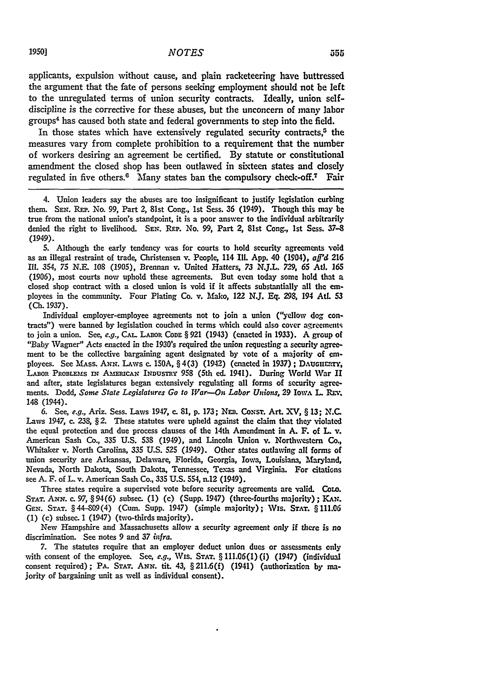applicants, expulsion without cause, and plain racketeering have buttressed the argument that the fate of persons seeking employment should not be left to the unregulated terms of union security contracts. Ideally, union selfdiscipline is the corrective for these abuses, but the unconcern of many labor groups4 has caused both state and federal governments to step into the field.

In those states which have extensively regulated security contracts,<sup> $5$ </sup> the measures vary from complete prohibition to a requirement that the number of workers desiring an agreement be certified. **By** statute or constitutional amendment the closed shop has been outlawed in sixteen states and closely regulated in five others.<sup>6</sup> Many states ban the compulsory check-off.<sup>7</sup> Fair

4. Union leaders say the abuses are too insignificant to justify legislation curbing them. SEN. REP. No. 99, Part 2, 81st Cong., 1st Sess. 36 (1949). Though this may **be** true from the national union's standpoint, it is a poor answer to the individual arbitrarily denied the right to livelihood. SEN. REP. No. **99,** Part 2, 81st Cong., 1st Sess. **37-8** (1949).

**S.** Although the early tendency was for courts to hold security agreements void as an illegal restraint of trade, Christensen v. People, 114 IlL **App.** 40 (1904), *aff'd* **216** *I1. 354, 75* N.E. **108 (1905),** Brennan v. United Hatters, *73* N.J.L. 729, **65** At. **165 (1906),** most courts now uphold these agreements. But even today some hold that a closed shop contract with a dosed union is void if it affects substantially all the employees in the community. Four Plating Co. v. Mako, 122 N.J. Eq. **298,** 194 **AtL 53** (Ch. 1937).

Individual employer-employee agreements not to join a union ("yellow dog contracts") were banned by legislation couched in terms which could also cover agreemealts to join a union. See, e.g., **CA..** LABOR **CODE** § **921** (1943) (enacted in **1933).** A group of "Baby Wagner" Acts enacted in the 1930's required the union requesting a security agreement to be the collective bargaining agent designated by vote of a majority of employees. See Mass. ANN. Laws c. 150A, § 4(3) (1942) (enacted in 1937); DAUGHERTY, **LABoR** PRoBLEFms IN **Aa!ERICAN** INDUSTRY **958** (5th **ed.** 1941). During World War **II** and after, state legislatures began extensively regulating all forms of security agreemerits. Dodd, *Some State Legilatures Go to War--On Labor Unions,* **29** IowA L. REv. 148 (1944).

6. See, *e.g.,* Ariz. Sess. Laws 1947, c. 81, **p.** 173; NE:. CoNsr. **Art. XV,** § **13; N.C.** Laws 1947, c. 238, § 2. These statutes were upheld against the claim that they violated the equal protection and due process clauses of the 14th Amendment in **A.** F. of L v. American Sash Co., **335** U.S, **538** (1949), and Lincoln Union v. Northwestern Co., Whitaker v. North Carolina, **335** U.S. 525 (1949). Other states outlawing all forms of union security are Arkansas, Delaware, Florida, Georgia, Iowa, Louisiana, Maryland, Nevada, North Dakota, South Dakota, Tennessee, Texas and Virginia. For citations see **A.** F. of L. v. American Sash Co., **335 U.S.** 554, n.12 (1949).

Three states require a supervised vote before security agreements are valid. Cow. **STAT.** ANN. c. **97,** §94(6) subsec. **(1)** (c) (Supp. 1947) (three-fourths majority); KAN. **GEN. STAT.** §44-809(4) (Cum. Supp. 1947) (simple majority); Vxs. **STAT. §111.06 (1)** (c) subsec. 1 (1947) (two-thirds majority).

New Hampshire and Massachusetts allow a security agreement only if there is *no* discrimination. See notes 9 and **37** *infra.*

7. The statutes require that an employer deduct union dues or assessments only with consent of the employee. See, *e.g.,* Wis. **STAT.** § **111.06(1)** (i) (1947) (individual consent required); PA. **STAT. ANN.** tit. 43, § 211.6(f) (1941) (authorization **by** majority of bargaining unit as well as individual consent).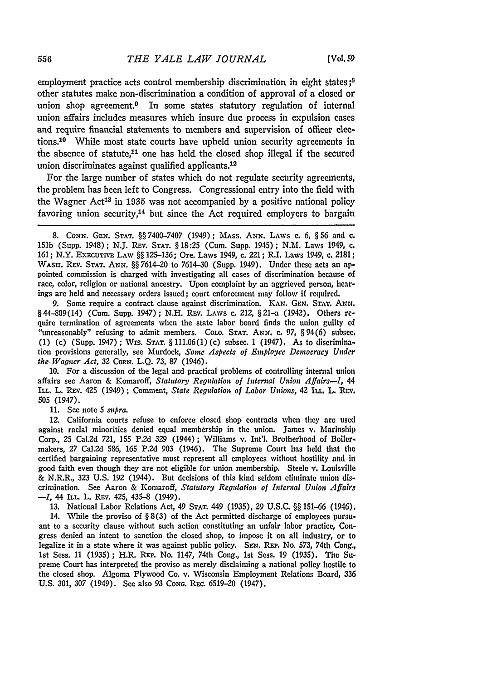employment practice acts control membership discrimination in eight states **;8** other statutes make non-discrimination a condition of approval of a closed or union shop agreement.<sup>9</sup> In some states statutory regulation of internal union affairs includes measures which insure due process in expulsion cases and require financial statements to members and supervision of officer elections.<sup>10</sup> While most state courts have upheld union security agreements in the absence of statute.<sup>11</sup> one has held the closed shop illegal if the secured union discriminates against qualified applicants.<sup>12</sup>

For the large number of states which do not regulate security agreements, the problem has been left to Congress. Congressional entry into the field with the Wagner Act<sup>13</sup> in 1935 was not accompanied by a positive national policy favoring union security,<sup>14</sup> but since the Act required employers to bargain

9. Some require a contract clause against discrimination. KAN. GEN. STAT. ANN. §44-809(14) (Cum. Supp. 1947); N.H. REv. LAWS c. 212, §21-a (1942). Others require termination of agreements when the state labor board finds the union guilty of "unreasonably" refusing to admit members. COLO. **STAT. ANN.** c. 97, §94(6) subsec. (1) (c) (Supp. 1947) ; Wis. **STAT.** § 111.06(1) (c) subsec. 1 (1947). As to discrimination provisions generally, see Murdock, *Some Aspects of Employee Democracy Under the. Wagner Act,* 32 CORN. L.Q. **73,** 87 (1946).

**10.** For a discussion of the legal and practical problems of controlling internal union affairs see Aaron & Komaroff, *Statutory Rcgulation of Internal Union Affairs-1, 44* **ILL.** L. Rav. 425 (1949); Comment, *State Regulation of Labor Unions,* 42 **ILL.** L. *Rrv.* 505 (1947).

11. See note 5 *supra.*

12. California courts refuse to enforce closed shop contracts when they are used against racial minorities denied equal membership in the union. James v. Marinship Corp., 25 Cal.2d 721, 155 P.2d 329 (1944); Williams v. Int'l. Brotherhood of Boilermakers, 27 Cal.2d 586, 165 P.2d 903 (1946). The Supreme Court has held that the certified bargaining representative must represent all employees without hostility and in good faith even though they are not eligible for union membership. Steele v. Louisville & N.R.R., **323** U.S. 192 (1944). But decisions of this kind seldom eliminate union discrimination. See Aaron & Komaroff, *Statutory Regulation of Internal Union Affairs -1I,* 44 ILL. L. REv. 425, 435-8 (1949).

**13.** National Labor Relations Act, 49 **STAT.** 449 (1935), **29** U.S.C. §§ 151-66 (1946).

14. While the proviso of § 8(3) of the Act permitted discharge of employees pursuant to a security clause without such action constituting an unfair labor practice, Congress denied an intent to sanction the closed shop, to impose it on all industry, or to legalize it in a state where it was against public policy. SEN. REP. No. *573,* 74th Cong., 1st Sess. 11 (1935); H.R. REP. No. 1147, 74th Cong., 1st Sess. 19 (1935). The Supreme Court has interpreted the proviso as merely disclaiming a national policy hostile to the closed shop. Algoma Plywood Co. v. Wisconsin Employment Relations Board, **336** U.S. 301, 307 (1949). See also 93 Cong. REC. 6519-20 (1947).

<sup>8.</sup> CONN. **GEN. STAT.** §§ 7400-7407 (1949); MASS. **ANN.** LAWS **c.** *6,* § 56 and **c.** 151b (Supp. 1948); **N.J.** REv. STAT. § 18:25 (Cum. Supp. 1945); N.M. Laws 1949, **c.** 161; N.Y. **EXECUTVE** LAW §§ 125-136; Ore. Laws 1949, c. 221; R.I. Laws 1949, c. 2181; WASH. REV. STAT. ANN. §§ 7614-20 to 7614-30 (Supp. 1949). Under these acts an appointed commission is charged with investigating all cases of discrimination because **of** race, color, religion or national ancestry. Upon complaint by an aggrieved person, hearings are held and necessary orders issued; court enforcement may follow if required.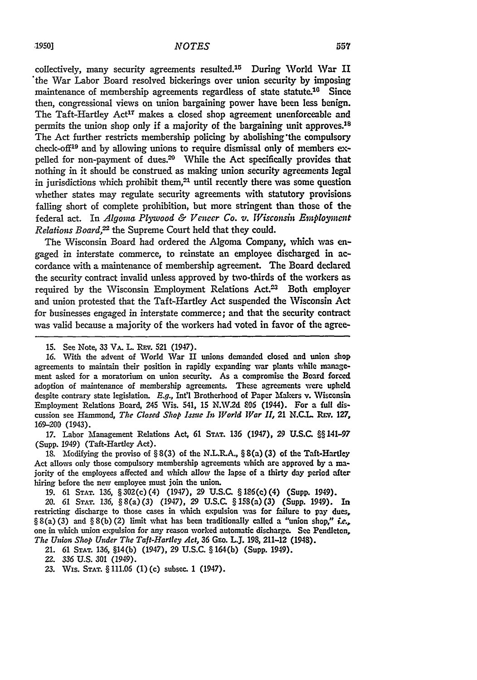collectively, many security agreements resulted.15 During 'World War II 'the War Labor Board resolved bickerings over union security **by** imposing maintenance of membership agreements regardless of state statute.<sup>10</sup> Since then, congressional views on union bargaining power have been less benign. The Taft-Hartley Act<sup>17</sup> makes a closed shop agreement unenforceable and permits the union shop only if a majority of the bargaining unit approves.<sup>18</sup> The Act further restricts membership policing by abolishing'the compulsory check-off<sup>19</sup> and by allowing unions to require dismissal only of members expelled for non-payment of dues.<sup>20</sup> While the Act specifically provides that nothing in it should be construed as making union security agreements legal in jurisdictions which prohibit them,<sup>21</sup> until recently there was some question whether states may regulate security agreements with statutory provisions failing short of complete prohibition, but more stringent than those of the federal act. In *Algoma Plywood & Veneer Co. v. Wisconsin Employment Relations Board <sup>2</sup>*the Supreme Court held that they could.

The Wisconsin Board had ordered the Algoma Company, which was engaged in interstate commerce, to reinstate an employee discharged in accordance with a maintenance of membership agreement. The Board declared the security contract invalid unless approved by two-thirds of the workers as required by the Wisconsin Employment Relations Act.<sup>23</sup> Both employer and union protested that the Taft-Hartley Act suspended the Wisconsin Act for businesses engaged in interstate commerce; and that the security contract was valid because a majority of the workers had voted in favor of the agree-

17. Labor Management Relations Act, 61 **STAT.** 136 (1947), 29 U.S.C. §§ 141-97 (Supp. 1949) (Taft-Hartley Act).

**18.** Modifying the proviso of § 8(3) of the N.L.R.A., § 8(a) (3) of the Taft-Hartley Act allows only those compulsory membership agreements which are approved by a majority of the employees affected and which allow the lapse of a thirty day period after hiring before the new employee must join the union.

**19.** 61 **STAT.** 136, §302(c)(4) (1947), 29 U.S.C. §186(c)(4) (Supp. 1949).

*20. 61 STAr. 136,* §8(a)(3) (1947), 29 U.S.C. §158(a)(3) (Supp. 1949). In restricting discharge to those cases in which expulsion was for failure to pay dues, § 8(a) (3) and § 8(b) (2) limit what has been traditionally called a "union shop," *ie.,* one in which union expulsion for any reason worked automatic discharge. See Pendleton, *The Union Shop Under The Taft-Hartley Act, 36 GEo. L.J. 198, 211-12 (1948).* 

21. 61 **STAT.** 136, §14(b) (1947), 29 U.S.C. § 164(b) (Supp. 1949).

23. Wis. **STAT.** § 111.06 (1)(c) subsec. 1 (1947).

<sup>15.</sup> See Note, 33 **VA.** L. REv. 521 (1947).

**<sup>16.</sup>** With the advent of World War II unions demanded closed and union shop agreements to maintain their position in rapidly expanding war plants while management asked for a moratorium on union security. As a compromise the Board forced adoption of maintenance of membership agreements. These agreements were upheld despite contrary state legislation. *E.g.,* Int'l Brotherhood of Paper Makers v. Wisconsin Employment Relations Board, 245 Wis. 541, 15 N.W.2d 806 (1944). For a full discussion see Hammond, *The Closed Shop Issue In World War II*, 21 N.C.L. REV. 127, **169-200** (1943).

*<sup>22. 336</sup>* U.S. 301 (1949).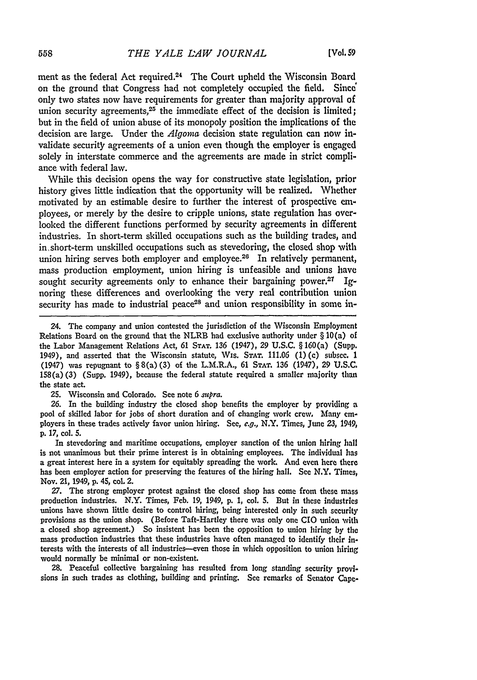ment as the federal Act required.<sup>24</sup> The Court upheld the Wisconsin Board on the ground that Congress had not completely occupied the field. Since' only two states now have requirements for greater than majority approval of union security agreements, $25$  the immediate effect of the decision is limited; but in the field of union abuse of its monopoly position the implications of the decision are large. Under the *Algoma* decision state regulation can now invalidate security agreements of a union even though the employer is engaged solely in interstate commerce and the agreements are made in strict compliance with federal law.

While this decision opens the way **for** constructive state legislation, prior history gives little indication that the opportunity will be realized. Whether motivated **by** an estimable desire to further the interest of prospective employees, or merely **by** the desire to cripple unions, state regulation has overlooked the different functions performed **by** security agreements in different industries. In short-term skilled occupations such as the building trades, and in short-term unskilled occupations such as stevedoring, the closed shop with union hiring serves both employer and employee.<sup>26</sup> In relatively permanent, mass production employment, union hiring is unfeasible and unions have sought security agreements only to enhance their bargaining power.21 **Ig**noring these differences and overlooking the very real contribution union security has made to industrial peace<sup>28</sup> and union responsibility in some in-

24. The company and union contested the jurisdiction of the Wisconsin Employment Relations Board on the ground that the NLRB **had** exclusive authority under § 10(a) of the Labor Management Relations Act, **61 STAT. 136** (1947), **29 U.S.C.** § 160(a) (Supp. 1949), and asserted that the Wisconsin statute, Wis. STAT. **111.06 (1)** (c) subsec. 1 (1947) was repugnant to § 8(a) (3) of the L.M.R.A., **61 STAT. 136** (1947), **29 U.S.C.** 158(a) **(3)** (Supp. 1949), because the federal statute required a smaller majority than the state act.

**25.** Wisconsin and Colorado. See note 6 *supra.*

**26.** In the building industry the closed shop benefits the employer **by** providing a pool of skilled labor for jobs of short duration and of changing work crew, Many employers in these trades actively favor union hiring. See, *e.g.,* N.Y. Times, June *23,* 1949, **p. 17,** col. **5.**

In stevedoring and maritime occupations, employer sanction of the union hiring hall is not unanimous but their prime interest is in obtaining employees. The individual has a great interest here in a system for equitably spreading the work. And even here there has been employer action for preserving the features of the hiring hall. See N.Y. Times, Nov. 21, 1949, **p.** 45, col. 2.

**27.** The strong employer protest against the closed shop has come from these mass production industries. N.Y. Times, Feb. **19,** 1949, p. 1, col. **5.** But in these industries unions have shown little desire to control hiring, being interested only in such security provisions as the union shop. (Before Taft-Hartley there was only one **CIO** union wvith a closed shop agreement.) So insistent has been the opposition to union hiring by the mass production industries that these industries have often managed to identify their interests with the interests of all industries--even those in which opposition to union hiring would normally be minimal or non-existent.

**28.** Peaceful collective bargaining has resulted from long standing security provisions in such trades as clothing, building and printing. See remarks of Senator Cape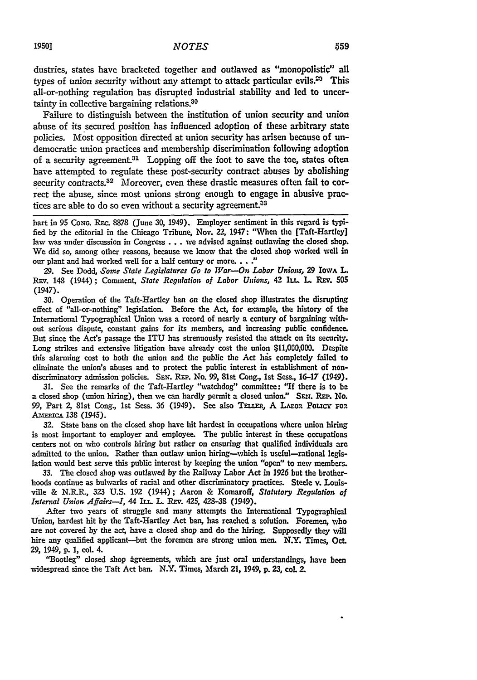dustries, states have bracketed together and outlawed as "monopolistic" all types of union security without any attempt to attack particular evils. $29$  This all-or-nothing regulation has disrupted industrial stability and led to uncertainty in collective bargaining relations.<sup>30</sup>

Failure to distinguish between the institution of union security and union abuse of its secured position has influenced adoption of these arbitrary state policies. Most opposition directed at union security has arisen because of undemocratic union practices and membership discrimination following adoption of a security agreement.<sup>31</sup> Lopping off the foot to save the toe, states often have attempted to regulate these post-security contract abuses **by** abolishing security contracts.<sup>32</sup> Moreover, even these drastic measures often fail to correct the abuse, since most unions strong enough to engage in abusive practices are able to do so even without a security agreement.<sup>33</sup>

hart in 95 Cong. Rec. 8878 (June 30, 1949). Employer sentiment in this regard is typified **by** the editorial in the Chicago Tribune, Nov. 22, 1947: "When the [Taft-Hartley] law was under discussion in Congress **...** we advised against outlawing the closed shop. We did so, among other reasons, because we know that the closed shop worked well in our plant and had worked well for a half century or more. **.. "**

**29.** See Dodd, *Some State Legislatures Go to War--On Labor Unions,* **29** IowA **L.** REv. 148 (1944); Comment, *State Regulation of Labor Unions,* 42 IL. L. REv. **505** (1947).

**30.** Operation of the Taft-Hartley ban on the closed shop illustrates the disrupting effect of "all-or-nothing" legislation. Before the Act, for example, the history of the International Typographical Union was a record of nearly a century of bargaining without serious dispute, constant gains for its members, and increasing public confidence. But since the **Act's** passage the **ITU** has strenuously resisted the attack on its security. Long strikes and extensive litigation have already cost the union **\$11,000,000.** Despite this alarming cost to both the union and the public the Act has completely failed to eliminate the union's abuses and to protect the public interest in establishment of nondiscriminatory admission policies. SEN. REP. No. 99, 81st Cong., 1st Sess., 16-17 (1949).

**31.** See the remarks of the Taft-Hartley "watchdog" committee: "If there is to be a dosed shop (union hiring), then we can hardly permit a closed union." **SEzr.** REP. No. **99,** Part *2,* 81st Cong., 1st Sess. 36 (1949). See also TEL.ER, **A** LAror PoLicy roa AMERICA 138 (1945).

**32.** State bans on the closed shop have hit hardest in occupations 'where union hiring is most important to employer and employee. The public interest in these occupations centers not on who controls hiring but rather on ensuring that qualified individuals are admitted to the union. Rather than outlaw union hiring-which is useful-rational legislation would best serve this public interest **by** keeping the union *"open"* to new members.

**33.** The closed shop was outlawed **by** the Railway Labor Act in **1926** but the brotherhoods continue as bulwarks of racial and other discriminatory practices. Steele v. Louisville & N.R.R., **323 U.S. 192** (1944); Aaron & Komaroff, *Statutory Regulation of Internal Union Affairs--I*, 44 IIL. L. REV. 425, 428-38 (1949).

After two years of struggle and many attempts the International Typographical Union, hardest hit **by** the Taft-Hartley Act ban, has reached a solution. Foremen, who are not covered by the act, have a closed shop and do the hiring. Supposedly they will hire any qualified applicant-but the foremen are strong union men. N.Y. Times, Oct. **29,** 1949, **p.** 1, col 4.

"Bootleg" closed shop agreements, which are just oral understandings, have been widespread since the Taft Act ban. N.Y. Times, March 21, 1949, **p.** 23, col. **2.**